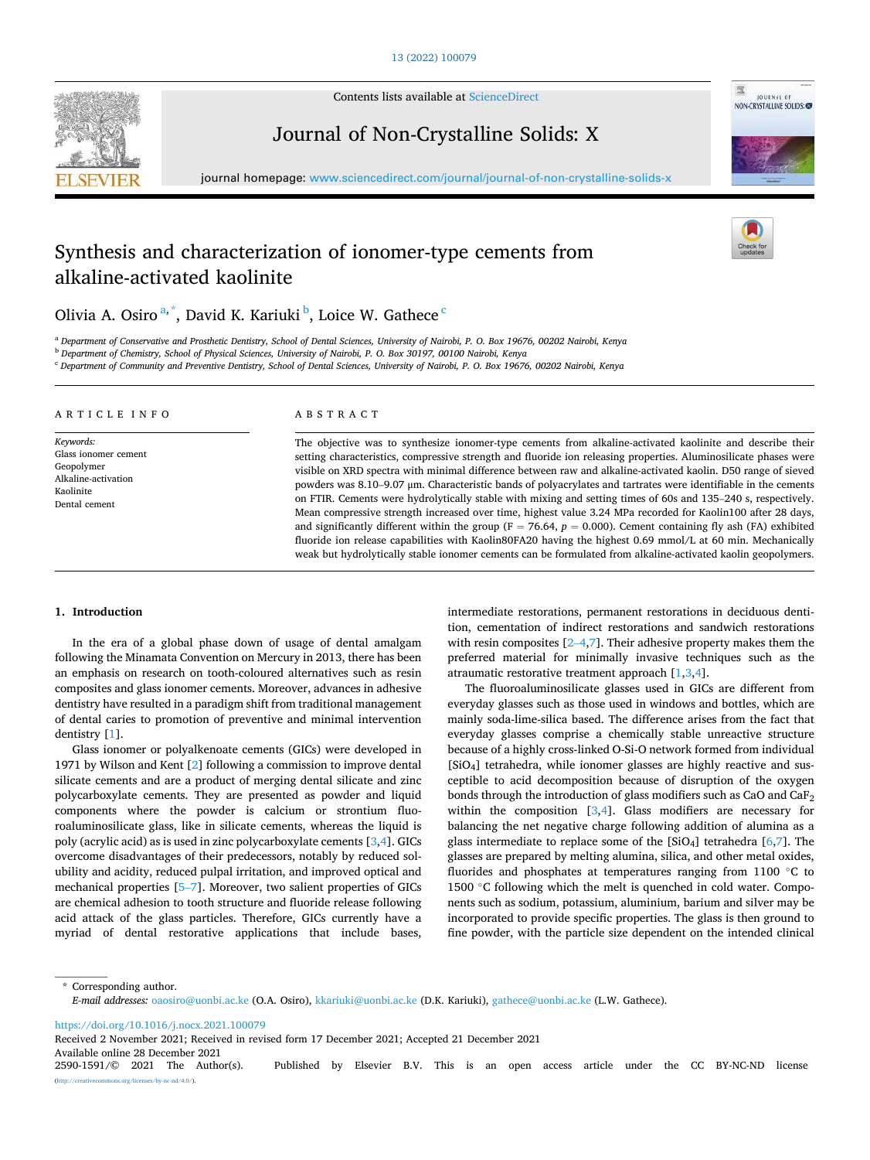

Contents lists available at [ScienceDirect](www.sciencedirect.com/science/journal/25901591)

Journal of Non-Crystalline Solids: X



# Synthesis and characterization of ionomer-type cements from alkaline-activated kaolinite





Olivia A. Osiro<sup>a,\*</sup>, David K. Kariuki <sup>b</sup>, Loice W. Gathece <sup>c</sup>

<sup>a</sup> *Department of Conservative and Prosthetic Dentistry, School of Dental Sciences, University of Nairobi, P. O. Box 19676, 00202 Nairobi, Kenya* 

<sup>b</sup> *Department of Chemistry, School of Physical Sciences, University of Nairobi, P. O. Box 30197, 00100 Nairobi, Kenya* 

<sup>c</sup> *Department of Community and Preventive Dentistry, School of Dental Sciences, University of Nairobi, P. O. Box 19676, 00202 Nairobi, Kenya* 

### ARTICLE INFO

*Keywords:*  Glass ionomer cement Geopolymer Alkaline-activation Kaolinite Dental cement

# ABSTRACT

The objective was to synthesize ionomer-type cements from alkaline-activated kaolinite and describe their setting characteristics, compressive strength and fluoride ion releasing properties. Aluminosilicate phases were visible on XRD spectra with minimal difference between raw and alkaline-activated kaolin. D50 range of sieved powders was 8.10–9.07 μm. Characteristic bands of polyacrylates and tartrates were identifiable in the cements on FTIR. Cements were hydrolytically stable with mixing and setting times of 60s and 135–240 s, respectively. Mean compressive strength increased over time, highest value 3.24 MPa recorded for Kaolin100 after 28 days, and significantly different within the group ( $F = 76.64$ ,  $p = 0.000$ ). Cement containing fly ash (FA) exhibited fluoride ion release capabilities with Kaolin80FA20 having the highest 0.69 mmol/L at 60 min. Mechanically weak but hydrolytically stable ionomer cements can be formulated from alkaline-activated kaolin geopolymers.

### **1. Introduction**

In the era of a global phase down of usage of dental amalgam following the Minamata Convention on Mercury in 2013, there has been an emphasis on research on tooth-coloured alternatives such as resin composites and glass ionomer cements. Moreover, advances in adhesive dentistry have resulted in a paradigm shift from traditional management of dental caries to promotion of preventive and minimal intervention dentistry [[1](#page-9-0)].

Glass ionomer or polyalkenoate cements (GICs) were developed in 1971 by Wilson and Kent [\[2\]](#page-9-0) following a commission to improve dental silicate cements and are a product of merging dental silicate and zinc polycarboxylate cements. They are presented as powder and liquid components where the powder is calcium or strontium fluoroaluminosilicate glass, like in silicate cements, whereas the liquid is poly (acrylic acid) as is used in zinc polycarboxylate cements [[3,4\]](#page-9-0). GICs overcome disadvantages of their predecessors, notably by reduced solubility and acidity, reduced pulpal irritation, and improved optical and mechanical properties [\[5](#page-9-0)–7]. Moreover, two salient properties of GICs are chemical adhesion to tooth structure and fluoride release following acid attack of the glass particles. Therefore, GICs currently have a myriad of dental restorative applications that include bases, intermediate restorations, permanent restorations in deciduous dentition, cementation of indirect restorations and sandwich restorations with resin composites  $[2-4,7]$  $[2-4,7]$  $[2-4,7]$  $[2-4,7]$ . Their adhesive property makes them the preferred material for minimally invasive techniques such as the atraumatic restorative treatment approach [[1,3,4](#page-9-0)].

The fluoroaluminosilicate glasses used in GICs are different from everyday glasses such as those used in windows and bottles, which are mainly soda-lime-silica based. The difference arises from the fact that everyday glasses comprise a chemically stable unreactive structure because of a highly cross-linked O-Si-O network formed from individual [SiO4] tetrahedra, while ionomer glasses are highly reactive and susceptible to acid decomposition because of disruption of the oxygen bonds through the introduction of glass modifiers such as CaO and CaF<sub>2</sub> within the composition  $[3,4]$  $[3,4]$  $[3,4]$  $[3,4]$  $[3,4]$ . Glass modifiers are necessary for balancing the net negative charge following addition of alumina as a glass intermediate to replace some of the  $[SiO<sub>4</sub>]$  tetrahedra  $[6,7]$  $[6,7]$  $[6,7]$  $[6,7]$  $[6,7]$ . The glasses are prepared by melting alumina, silica, and other metal oxides, fluorides and phosphates at temperatures ranging from 1100 °C to 1500 ℃ following which the melt is quenched in cold water. Components such as sodium, potassium, aluminium, barium and silver may be incorporated to provide specific properties. The glass is then ground to fine powder, with the particle size dependent on the intended clinical

\* Corresponding author. *E-mail addresses:* [oaosiro@uonbi.ac.ke](mailto:oaosiro@uonbi.ac.ke) (O.A. Osiro), [kkariuki@uonbi.ac.ke](mailto:kkariuki@uonbi.ac.ke) (D.K. Kariuki), [gathece@uonbi.ac.ke](mailto:gathece@uonbi.ac.ke) (L.W. Gathece).

<https://doi.org/10.1016/j.nocx.2021.100079>

Received 2 November 2021; Received in revised form 17 December 2021; Accepted 21 December 2021

Available online 28 December 2021<br>2590-1591/© 2021 The Author(s).

Published by Elsevier B.V. This is an open access article under the CC BY-NC-ND license ses/by-nc-nd/4.0/).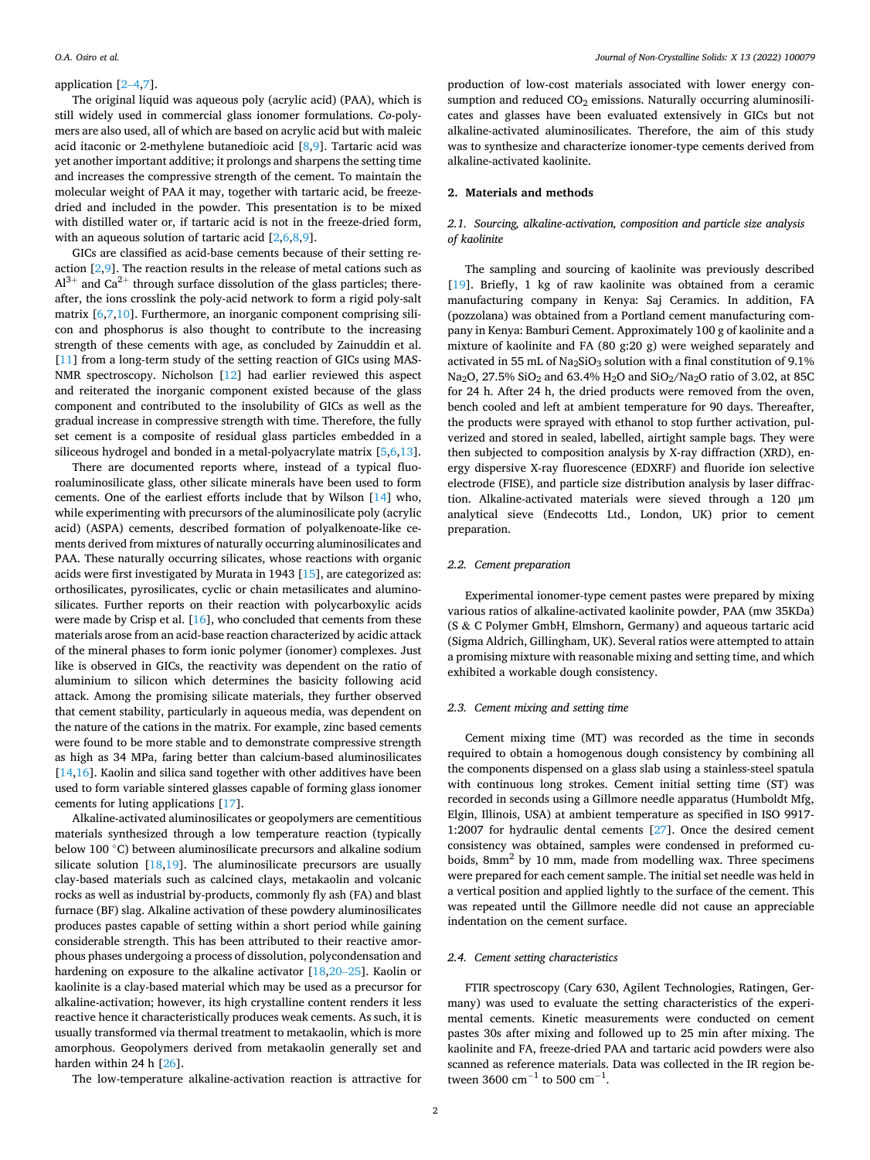### application [2–[4,7\]](#page-9-0).

The original liquid was aqueous poly (acrylic acid) (PAA), which is still widely used in commercial glass ionomer formulations. *Co*-polymers are also used, all of which are based on acrylic acid but with maleic acid itaconic or 2-methylene butanedioic acid  $[8,9]$  $[8,9]$ . Tartaric acid was yet another important additive; it prolongs and sharpens the setting time and increases the compressive strength of the cement. To maintain the molecular weight of PAA it may, together with tartaric acid, be freezedried and included in the powder. This presentation is to be mixed with distilled water or, if tartaric acid is not in the freeze-dried form, with an aqueous solution of tartaric acid [\[2,6,8,9\]](#page-9-0).

GICs are classified as acid-base cements because of their setting reaction  $[2,9]$  $[2,9]$  $[2,9]$  $[2,9]$  $[2,9]$ . The reaction results in the release of metal cations such as  $Al^{3+}$  and Ca<sup>2+</sup> through surface dissolution of the glass particles; thereafter, the ions crosslink the poly-acid network to form a rigid poly-salt matrix [[6,7,10\]](#page-9-0). Furthermore, an inorganic component comprising silicon and phosphorus is also thought to contribute to the increasing strength of these cements with age, as concluded by Zainuddin et al. [[11\]](#page-9-0) from a long-term study of the setting reaction of GICs using MAS-NMR spectroscopy. Nicholson [\[12](#page-9-0)] had earlier reviewed this aspect and reiterated the inorganic component existed because of the glass component and contributed to the insolubility of GICs as well as the gradual increase in compressive strength with time. Therefore, the fully set cement is a composite of residual glass particles embedded in a siliceous hydrogel and bonded in a metal-polyacrylate matrix [[5,6,13\]](#page-9-0).

There are documented reports where, instead of a typical fluoroaluminosilicate glass, other silicate minerals have been used to form cements. One of the earliest efforts include that by Wilson [[14\]](#page-9-0) who, while experimenting with precursors of the aluminosilicate poly (acrylic acid) (ASPA) cements, described formation of polyalkenoate-like cements derived from mixtures of naturally occurring aluminosilicates and PAA. These naturally occurring silicates, whose reactions with organic acids were first investigated by Murata in 1943 [\[15](#page-9-0)], are categorized as: orthosilicates, pyrosilicates, cyclic or chain metasilicates and aluminosilicates. Further reports on their reaction with polycarboxylic acids were made by Crisp et al. [\[16](#page-9-0)], who concluded that cements from these materials arose from an acid-base reaction characterized by acidic attack of the mineral phases to form ionic polymer (ionomer) complexes. Just like is observed in GICs, the reactivity was dependent on the ratio of aluminium to silicon which determines the basicity following acid attack. Among the promising silicate materials, they further observed that cement stability, particularly in aqueous media, was dependent on the nature of the cations in the matrix. For example, zinc based cements were found to be more stable and to demonstrate compressive strength as high as 34 MPa, faring better than calcium-based aluminosilicates [[14,16](#page-9-0)]. Kaolin and silica sand together with other additives have been used to form variable sintered glasses capable of forming glass ionomer cements for luting applications [[17\]](#page-9-0).

Alkaline-activated aluminosilicates or geopolymers are cementitious materials synthesized through a low temperature reaction (typically below 100 ◦C) between aluminosilicate precursors and alkaline sodium silicate solution  $[18,19]$  $[18,19]$  $[18,19]$ . The aluminosilicate precursors are usually clay-based materials such as calcined clays, metakaolin and volcanic rocks as well as industrial by-products, commonly fly ash (FA) and blast furnace (BF) slag. Alkaline activation of these powdery aluminosilicates produces pastes capable of setting within a short period while gaining considerable strength. This has been attributed to their reactive amorphous phases undergoing a process of dissolution, polycondensation and hardening on exposure to the alkaline activator [\[18,20](#page-9-0)–25]. Kaolin or kaolinite is a clay-based material which may be used as a precursor for alkaline-activation; however, its high crystalline content renders it less reactive hence it characteristically produces weak cements. As such, it is usually transformed via thermal treatment to metakaolin, which is more amorphous. Geopolymers derived from metakaolin generally set and harden within 24 h [[26\]](#page-9-0).

The low-temperature alkaline-activation reaction is attractive for

production of low-cost materials associated with lower energy consumption and reduced  $CO<sub>2</sub>$  emissions. Naturally occurring aluminosilicates and glasses have been evaluated extensively in GICs but not alkaline-activated aluminosilicates. Therefore, the aim of this study was to synthesize and characterize ionomer-type cements derived from alkaline-activated kaolinite.

# **2. Materials and methods**

# *2.1. Sourcing, alkaline-activation, composition and particle size analysis of kaolinite*

The sampling and sourcing of kaolinite was previously described [[19\]](#page-9-0). Briefly, 1 kg of raw kaolinite was obtained from a ceramic manufacturing company in Kenya: Saj Ceramics. In addition, FA (pozzolana) was obtained from a Portland cement manufacturing company in Kenya: Bamburi Cement. Approximately 100 g of kaolinite and a mixture of kaolinite and FA (80 g:20 g) were weighed separately and activated in 55 mL of Na<sub>2</sub>SiO<sub>3</sub> solution with a final constitution of 9.1% Na<sub>2</sub>O, 27.5% SiO<sub>2</sub> and 63.4% H<sub>2</sub>O and SiO<sub>2</sub>/Na<sub>2</sub>O ratio of 3.02, at 85C for 24 h. After 24 h, the dried products were removed from the oven, bench cooled and left at ambient temperature for 90 days. Thereafter, the products were sprayed with ethanol to stop further activation, pulverized and stored in sealed, labelled, airtight sample bags. They were then subjected to composition analysis by X-ray diffraction (XRD), energy dispersive X-ray fluorescence (EDXRF) and fluoride ion selective electrode (FISE), and particle size distribution analysis by laser diffraction. Alkaline-activated materials were sieved through a 120 μm analytical sieve (Endecotts Ltd., London, UK) prior to cement preparation.

### *2.2. Cement preparation*

Experimental ionomer-type cement pastes were prepared by mixing various ratios of alkaline-activated kaolinite powder, PAA (mw 35KDa) (S & C Polymer GmbH, Elmshorn, Germany) and aqueous tartaric acid (Sigma Aldrich, Gillingham, UK). Several ratios were attempted to attain a promising mixture with reasonable mixing and setting time, and which exhibited a workable dough consistency.

### *2.3. Cement mixing and setting time*

Cement mixing time (MT) was recorded as the time in seconds required to obtain a homogenous dough consistency by combining all the components dispensed on a glass slab using a stainless-steel spatula with continuous long strokes. Cement initial setting time (ST) was recorded in seconds using a Gillmore needle apparatus (Humboldt Mfg, Elgin, Illinois, USA) at ambient temperature as specified in ISO 9917- 1:2007 for hydraulic dental cements [[27\]](#page-9-0). Once the desired cement consistency was obtained, samples were condensed in preformed cuboids,  $8mm<sup>2</sup>$  by 10 mm, made from modelling wax. Three specimens were prepared for each cement sample. The initial set needle was held in a vertical position and applied lightly to the surface of the cement. This was repeated until the Gillmore needle did not cause an appreciable indentation on the cement surface.

### *2.4. Cement setting characteristics*

FTIR spectroscopy (Cary 630, Agilent Technologies, Ratingen, Germany) was used to evaluate the setting characteristics of the experimental cements. Kinetic measurements were conducted on cement pastes 30s after mixing and followed up to 25 min after mixing. The kaolinite and FA, freeze-dried PAA and tartaric acid powders were also scanned as reference materials. Data was collected in the IR region between 3600 cm<sup>-1</sup> to 500 cm<sup>-1</sup>.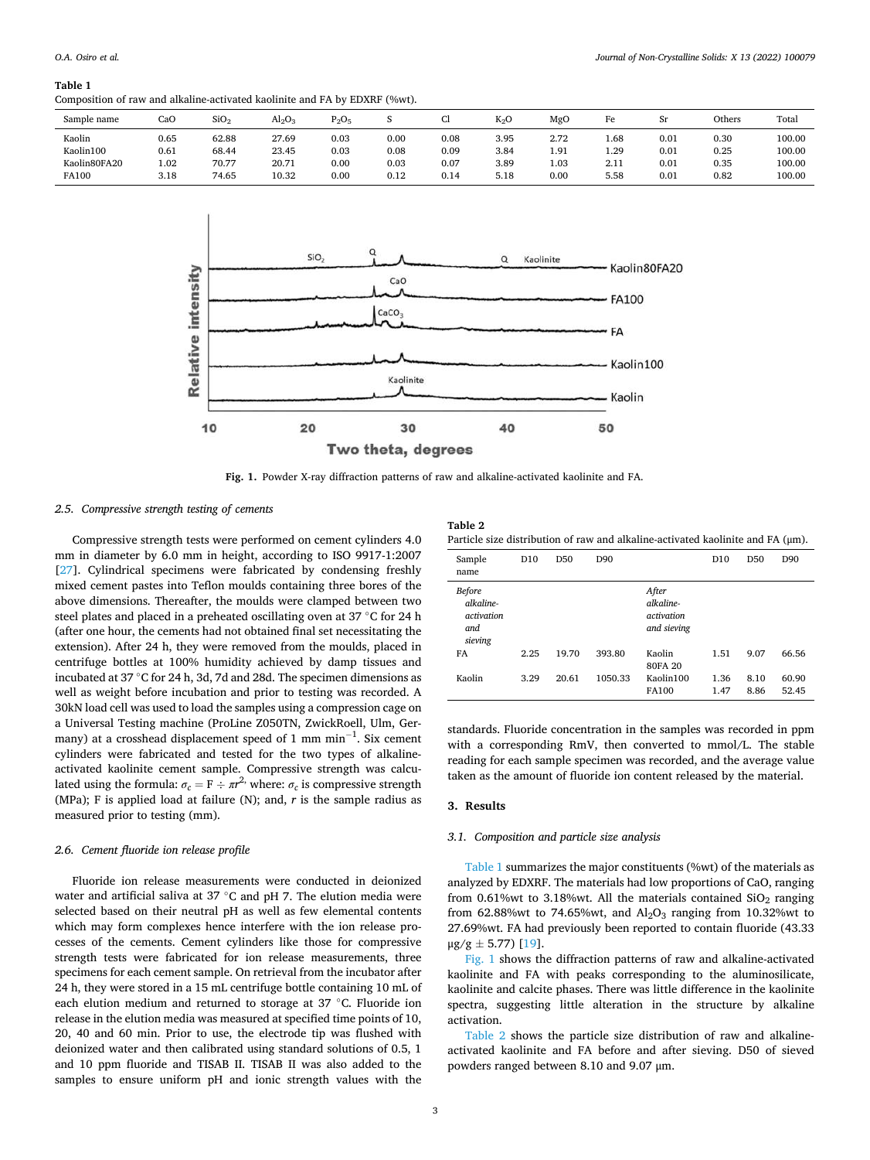### **Table 1**

Composition of raw and alkaline-activated kaolinite and FA by EDXRF (%wt).

| Sample name         | CaO          | SiO <sub>2</sub> | $Al_2O_3$      | $D_2O_5$     |              | u            | $K_2O$       | MgO          | Fe           | Sr           | Others       | Total            |
|---------------------|--------------|------------------|----------------|--------------|--------------|--------------|--------------|--------------|--------------|--------------|--------------|------------------|
| Kaolin<br>Kaolin100 | 0.65<br>0.61 | 62.88<br>68.44   | 27.69<br>23.45 | 0.03<br>0.03 | 0.00<br>0.08 | 0.08<br>0.09 | 3.95<br>3.84 | 2.72<br>1.91 | 1.68<br>1.29 | 0.01<br>0.01 | 0.30<br>0.25 | 100.00<br>100.00 |
| Kaolin80FA20        | 1.02         | 70.77            | 20.71          | 0.00         | 0.03         | 0.07         | 3.89         | 1.03         | 2.11         | 0.01         | 0.35         | 100.00           |
| <b>FA100</b>        | 3.18         | 74.65            | 10.32          | 0.00         | 0.12         | 0.14         | 5.18         | 0.00         | 5.58         | 0.01         | 0.82         | 100.00           |



**Fig. 1.** Powder X-ray diffraction patterns of raw and alkaline-activated kaolinite and FA.

# *2.5. Compressive strength testing of cements*

Compressive strength tests were performed on cement cylinders 4.0 mm in diameter by 6.0 mm in height, according to ISO 9917-1:2007 [[27\]](#page-9-0). Cylindrical specimens were fabricated by condensing freshly mixed cement pastes into Teflon moulds containing three bores of the above dimensions. Thereafter, the moulds were clamped between two steel plates and placed in a preheated oscillating oven at 37 °C for 24 h (after one hour, the cements had not obtained final set necessitating the extension). After 24 h, they were removed from the moulds, placed in centrifuge bottles at 100% humidity achieved by damp tissues and incubated at 37 ◦C for 24 h, 3d, 7d and 28d. The specimen dimensions as well as weight before incubation and prior to testing was recorded. A 30kN load cell was used to load the samples using a compression cage on a Universal Testing machine (ProLine Z050TN, ZwickRoell, Ulm, Germany) at a crosshead displacement speed of 1 mm min $^{-1}$ . Six cement cylinders were fabricated and tested for the two types of alkalineactivated kaolinite cement sample. Compressive strength was calculated using the formula:  $\sigma_c = \mathbf{F} \div \pi r^2$ , where:  $\sigma_c$  is compressive strength (MPa); F is applied load at failure (N); and, *r* is the sample radius as measured prior to testing (mm).

# *2.6. Cement fluoride ion release profile*

Fluoride ion release measurements were conducted in deionized water and artificial saliva at 37 ℃ and pH 7. The elution media were selected based on their neutral pH as well as few elemental contents which may form complexes hence interfere with the ion release processes of the cements. Cement cylinders like those for compressive strength tests were fabricated for ion release measurements, three specimens for each cement sample. On retrieval from the incubator after 24 h, they were stored in a 15 mL centrifuge bottle containing 10 mL of each elution medium and returned to storage at 37 ◦C. Fluoride ion release in the elution media was measured at specified time points of 10, 20, 40 and 60 min. Prior to use, the electrode tip was flushed with deionized water and then calibrated using standard solutions of 0.5, 1 and 10 ppm fluoride and TISAB II. TISAB II was also added to the samples to ensure uniform pH and ionic strength values with the

|     | Table 2 |  |  |  |
|-----|---------|--|--|--|
| $-$ |         |  |  |  |

| Particle size distribution of raw and alkaline-activated kaolinite and $FA$ ( $\mu$ m). |  |  |  |  |  |  |
|-----------------------------------------------------------------------------------------|--|--|--|--|--|--|
|-----------------------------------------------------------------------------------------|--|--|--|--|--|--|

| Sample<br>name                                             | D <sub>10</sub> | D50   | D90     |                                                 | D <sub>10</sub> | D <sub>50</sub> | D90            |
|------------------------------------------------------------|-----------------|-------|---------|-------------------------------------------------|-----------------|-----------------|----------------|
| <b>Before</b><br>alkaline-<br>activation<br>and<br>sieving |                 |       |         | After<br>alkaline-<br>activation<br>and sieving |                 |                 |                |
| FA                                                         | 2.25            | 19.70 | 393.80  | Kaolin<br>80FA 20                               | 1.51            | 9.07            | 66.56          |
| Kaolin                                                     | 3.29            | 20.61 | 1050.33 | Kaolin100<br>FA100                              | 1.36<br>1.47    | 8.10<br>8.86    | 60.90<br>52.45 |

standards. Fluoride concentration in the samples was recorded in ppm with a corresponding RmV, then converted to mmol/L. The stable reading for each sample specimen was recorded, and the average value taken as the amount of fluoride ion content released by the material.

### **3. Results**

### *3.1. Composition and particle size analysis*

Table 1 summarizes the major constituents (%wt) of the materials as analyzed by EDXRF. The materials had low proportions of CaO, ranging from 0.61%wt to 3.18%wt. All the materials contained  $SiO<sub>2</sub>$  ranging from 62.88%wt to 74.65%wt, and  $Al_2O_3$  ranging from 10.32%wt to 27.69%wt. FA had previously been reported to contain fluoride (43.33  $\mu$ g/g  $\pm$  5.77) [\[19](#page-9-0)].

Fig. 1 shows the diffraction patterns of raw and alkaline-activated kaolinite and FA with peaks corresponding to the aluminosilicate, kaolinite and calcite phases. There was little difference in the kaolinite spectra, suggesting little alteration in the structure by alkaline activation.

Table 2 shows the particle size distribution of raw and alkalineactivated kaolinite and FA before and after sieving. D50 of sieved powders ranged between 8.10 and 9.07 μm.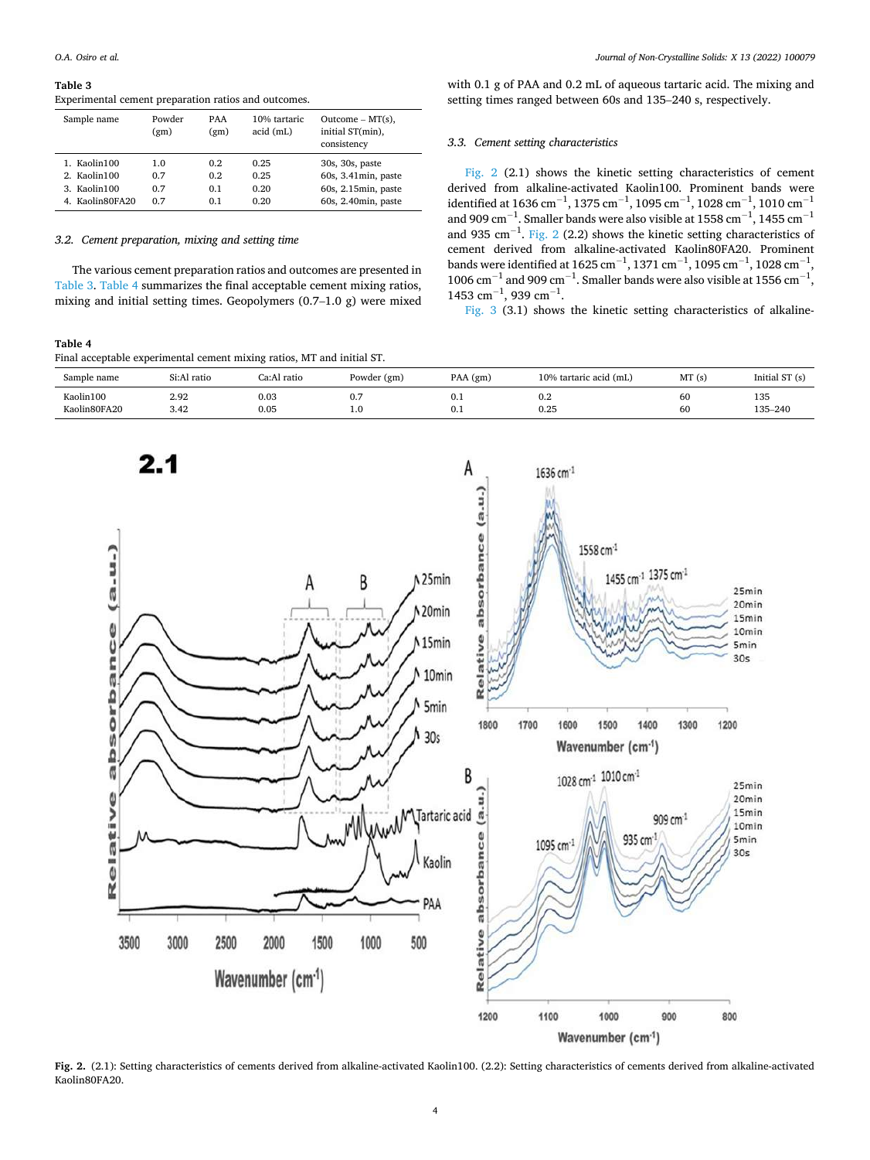#### **Table 3**

Experimental cement preparation ratios and outcomes.

| Sample name     | Powder<br>(gm) | <b>PAA</b><br>(gm) | 10% tartaric<br>acid (mL) | $Outcome - MT(s)$ ,<br>initial ST(min),<br>consistency |
|-----------------|----------------|--------------------|---------------------------|--------------------------------------------------------|
| 1. Kaolin100    | 1.0            | 0.2                | 0.25                      | 30s, 30s, paste                                        |
| 2. Kaolin100    | 0.7            | 0.2                | 0.25                      | $60s$ , 3.41 $min$ , paste                             |
| 3. Kaolin100    | 0.7            | 0.1                | 0.20                      | 60s, 2.15min, paste                                    |
| 4. Kaolin80FA20 | 0.7            | 0.1                | 0.20                      | 60s, 2.40min, paste                                    |

### *3.2. Cement preparation, mixing and setting time*

The various cement preparation ratios and outcomes are presented in Table 3. Table 4 summarizes the final acceptable cement mixing ratios, mixing and initial setting times. Geopolymers (0.7–1.0 g) were mixed

# **Table 4**

Final acceptable experimental cement mixing ratios, MT and initial ST.

with 0.1 g of PAA and 0.2 mL of aqueous tartaric acid. The mixing and setting times ranged between 60s and 135–240 s, respectively.

### *3.3. Cement setting characteristics*

Fig. 2 (2.1) shows the kinetic setting characteristics of cement derived from alkaline-activated Kaolin100. Prominent bands were identified at 1636 cm<sup>-1</sup>, 1375 cm<sup>-1</sup>, 1095 cm<sup>-1</sup>, 1028 cm<sup>-1</sup>, 1010 cm<sup>-1</sup> and 909  $\text{cm}^{-1}$ . Smaller bands were also visible at 1558  $\text{cm}^{-1}$ , 1455  $\text{cm}^{-1}$ and 935  $\text{cm}^{-1}$ . Fig. 2 (2.2) shows the kinetic setting characteristics of cement derived from alkaline-activated Kaolin80FA20. Prominent bands were identified at 1625 cm<sup>-1</sup>, 1371 cm<sup>-1</sup>, 1095 cm<sup>-1</sup>, 1028 cm<sup>-1</sup>, 1006  $\text{cm}^{-1}$  and 909  $\text{cm}^{-1}$ . Smaller bands were also visible at 1556  $\text{cm}^{-1}$ ,  $1453$  cm<sup>-1</sup>, 939 cm<sup>-1</sup>.

[Fig. 3](#page-5-0) (3.1) shows the kinetic setting characteristics of alkaline-

| Sample name  | Si:Al ratio | Ca:Al ratio | Powder (gm) | PAA (gm) | 10% tartaric acid (mL) | MT(s) | Initial ST (s) |
|--------------|-------------|-------------|-------------|----------|------------------------|-------|----------------|
| Kaolin100    | 2.92        | 0.03        | 0.7         | v. 1     | 0.2                    | 60    | 135            |
| Kaolin80FA20 | 3.42        | 0.05        | 1.0         | 0.1      | 0.25                   | 60    | 135-240        |



**Fig. 2.** (2.1): Setting characteristics of cements derived from alkaline-activated Kaolin100. (2.2): Setting characteristics of cements derived from alkaline-activated Kaolin80FA20.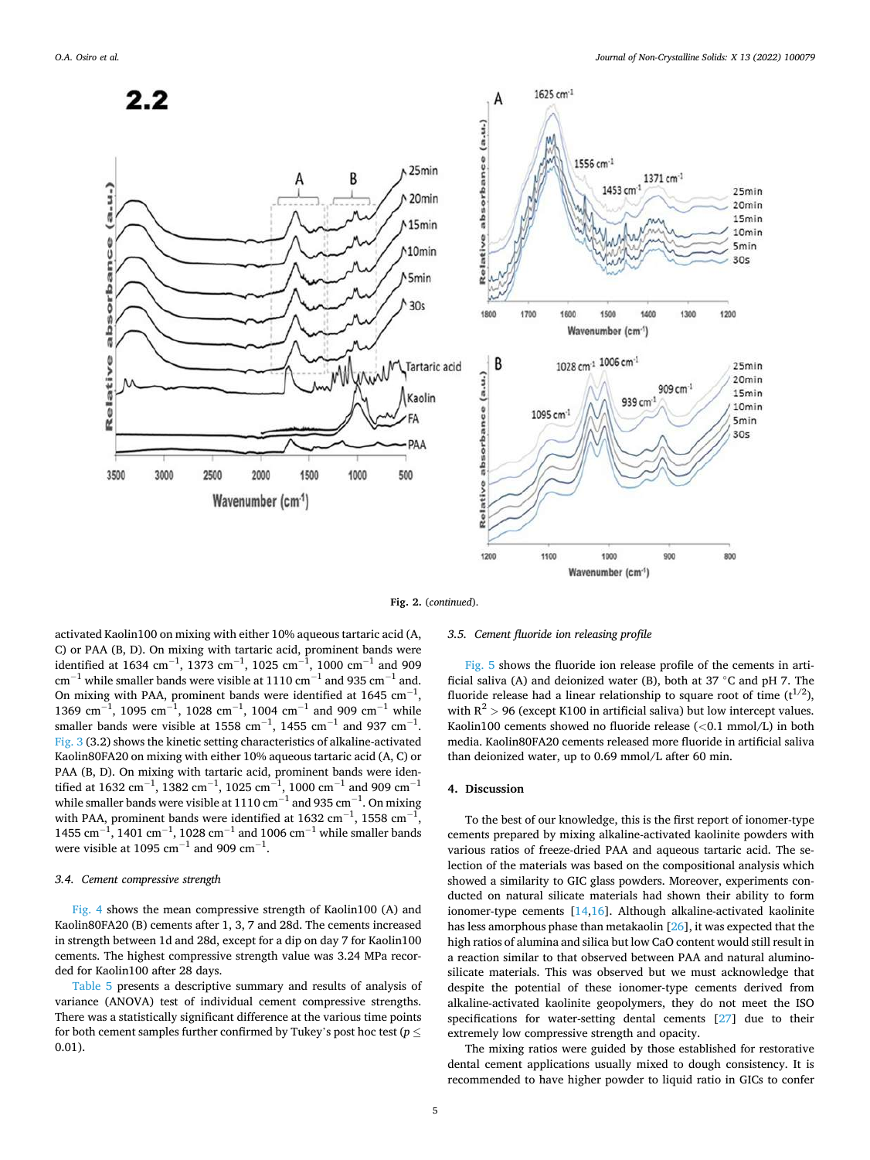

**Fig. 2.** (*continued*).

activated Kaolin100 on mixing with either 10% aqueous tartaric acid (A, C) or PAA (B, D). On mixing with tartaric acid, prominent bands were identified at 1634  $\text{cm}^{-1}$ , 1373  $\text{cm}^{-1}$ , 1025  $\text{cm}^{-1}$ , 1000  $\text{cm}^{-1}$  and 909  $\rm cm^{-1}$  while smaller bands were visible at 1110  $\rm cm^{-1}$  and 935  $\rm cm^{-1}$  and. On mixing with PAA, prominent bands were identified at 1645  $\text{cm}^{-1}$ ,  $1369 \text{ cm}^{-1}$ ,  $1095 \text{ cm}^{-1}$ ,  $1028 \text{ cm}^{-1}$ ,  $1004 \text{ cm}^{-1}$  and  $909 \text{ cm}^{-1}$  while smaller bands were visible at 1558  $\text{cm}^{-1}$ , 1455  $\text{cm}^{-1}$  and 937  $\text{cm}^{-1}$ . [Fig. 3](#page-5-0) (3.2) shows the kinetic setting characteristics of alkaline-activated Kaolin80FA20 on mixing with either 10% aqueous tartaric acid (A, C) or PAA (B, D). On mixing with tartaric acid, prominent bands were identified at 1632  $\rm cm^{-1}$ , 1382  $\rm cm^{-1}$ , 1025  $\rm cm^{-1}$ , 1000  $\rm cm^{-1}$  and 909  $\rm cm^{-1}$ while smaller bands were visible at 1110  $\rm cm^{-1}$  and 935  $\rm cm^{-1}$ . On mixing with PAA, prominent bands were identified at 1632  $\rm cm^{-1}$ , 1558  $\rm cm^{-1}$ prominent bands were identified at 1632 cm<sup>−1</sup>, 1558 cm<sup>−1</sup>, 1028 cm<sup>−1</sup> and 1006 cm<sup>−1</sup> while smaller bands  $1455$  cm<sup>-1</sup> were visible at 1095  $\text{cm}^{-1}$  and 909  $\text{cm}^{-1}$ .

## *3.4. Cement compressive strength*

[Fig. 4](#page-7-0) shows the mean compressive strength of Kaolin100 (A) and Kaolin80FA20 (B) cements after 1, 3, 7 and 28d. The cements increased in strength between 1d and 28d, except for a dip on day 7 for Kaolin100 cements. The highest compressive strength value was 3.24 MPa recorded for Kaolin100 after 28 days.

[Table 5](#page-7-0) presents a descriptive summary and results of analysis of variance (ANOVA) test of individual cement compressive strengths. There was a statistically significant difference at the various time points for both cement samples further confirmed by Tukey's post hoc test (*p* ≤ 0.01).

# *3.5. Cement fluoride ion releasing profile*

[Fig. 5](#page-8-0) shows the fluoride ion release profile of the cements in artificial saliva (A) and deionized water (B), both at 37 ◦C and pH 7. The fluoride release had a linear relationship to square root of time  $(t^{1/2})$ , with  $R^2$  > 96 (except K100 in artificial saliva) but low intercept values. Kaolin100 cements showed no fluoride release (*<*0.1 mmol/L) in both media. Kaolin80FA20 cements released more fluoride in artificial saliva than deionized water, up to 0.69 mmol/L after 60 min.

### **4. Discussion**

To the best of our knowledge, this is the first report of ionomer-type cements prepared by mixing alkaline-activated kaolinite powders with various ratios of freeze-dried PAA and aqueous tartaric acid. The selection of the materials was based on the compositional analysis which showed a similarity to GIC glass powders. Moreover, experiments conducted on natural silicate materials had shown their ability to form ionomer-type cements [[14,16\]](#page-9-0). Although alkaline-activated kaolinite has less amorphous phase than metakaolin [\[26](#page-9-0)], it was expected that the high ratios of alumina and silica but low CaO content would still result in a reaction similar to that observed between PAA and natural aluminosilicate materials. This was observed but we must acknowledge that despite the potential of these ionomer-type cements derived from alkaline-activated kaolinite geopolymers, they do not meet the ISO specifications for water-setting dental cements [\[27](#page-9-0)] due to their extremely low compressive strength and opacity.

The mixing ratios were guided by those established for restorative dental cement applications usually mixed to dough consistency. It is recommended to have higher powder to liquid ratio in GICs to confer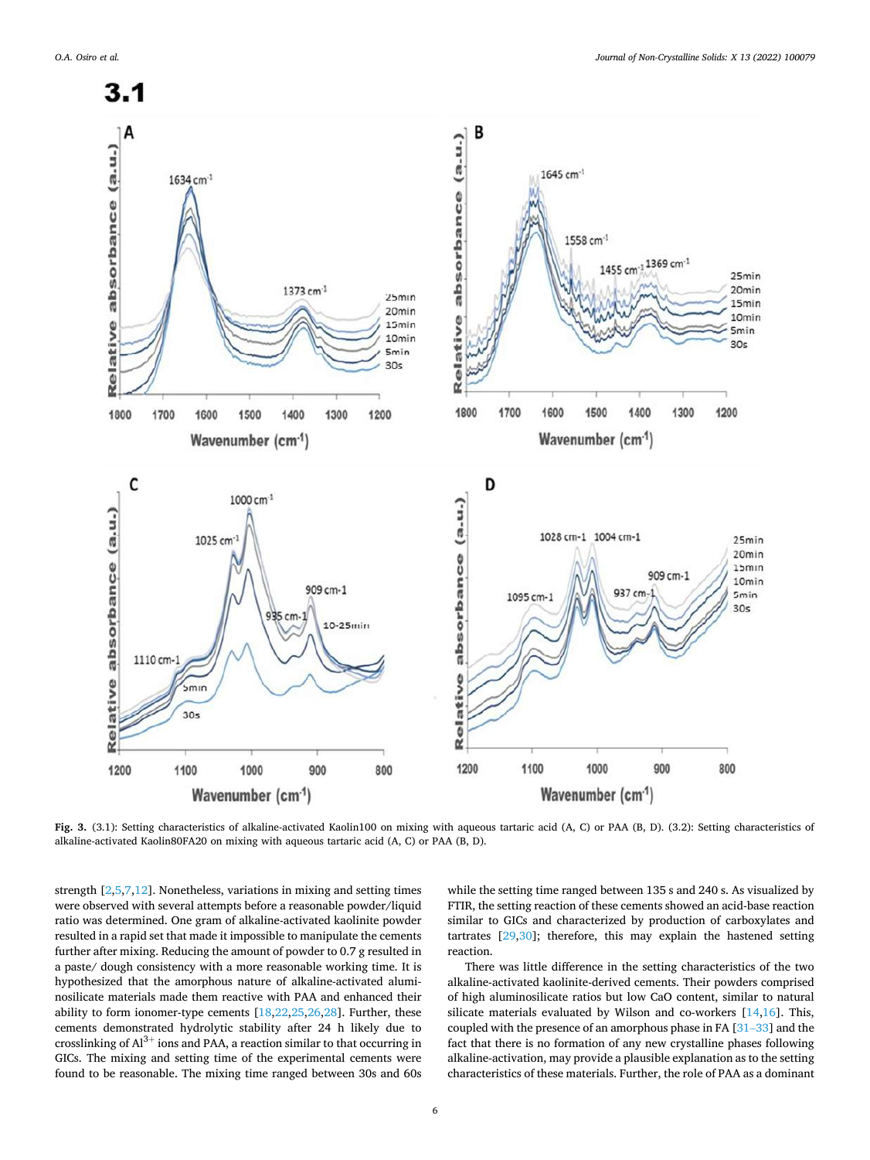<span id="page-5-0"></span>

**Fig. 3.** (3.1): Setting characteristics of alkaline-activated Kaolin100 on mixing with aqueous tartaric acid (A, C) or PAA (B, D). (3.2): Setting characteristics of alkaline-activated Kaolin80FA20 on mixing with aqueous tartaric acid (A, C) or PAA (B, D).

strength [\[2,5,7,12](#page-9-0)]. Nonetheless, variations in mixing and setting times were observed with several attempts before a reasonable powder/liquid ratio was determined. One gram of alkaline-activated kaolinite powder resulted in a rapid set that made it impossible to manipulate the cements further after mixing. Reducing the amount of powder to 0.7 g resulted in a paste/ dough consistency with a more reasonable working time. It is hypothesized that the amorphous nature of alkaline-activated aluminosilicate materials made them reactive with PAA and enhanced their ability to form ionomer-type cements [\[18,22,25](#page-9-0),[26,28\]](#page-9-0). Further, these cements demonstrated hydrolytic stability after 24 h likely due to crosslinking of  $Al^{3+}$  ions and PAA, a reaction similar to that occurring in GICs. The mixing and setting time of the experimental cements were found to be reasonable. The mixing time ranged between 30s and 60s

while the setting time ranged between 135 s and 240 s. As visualized by FTIR, the setting reaction of these cements showed an acid-base reaction similar to GICs and characterized by production of carboxylates and tartrates [\[29,30](#page-9-0)]; therefore, this may explain the hastened setting reaction.

There was little difference in the setting characteristics of the two alkaline-activated kaolinite-derived cements. Their powders comprised of high aluminosilicate ratios but low CaO content, similar to natural silicate materials evaluated by Wilson and co-workers [\[14,16](#page-9-0)]. This, coupled with the presence of an amorphous phase in FA [31–[33\]](#page-9-0) and the fact that there is no formation of any new crystalline phases following alkaline-activation, may provide a plausible explanation as to the setting characteristics of these materials. Further, the role of PAA as a dominant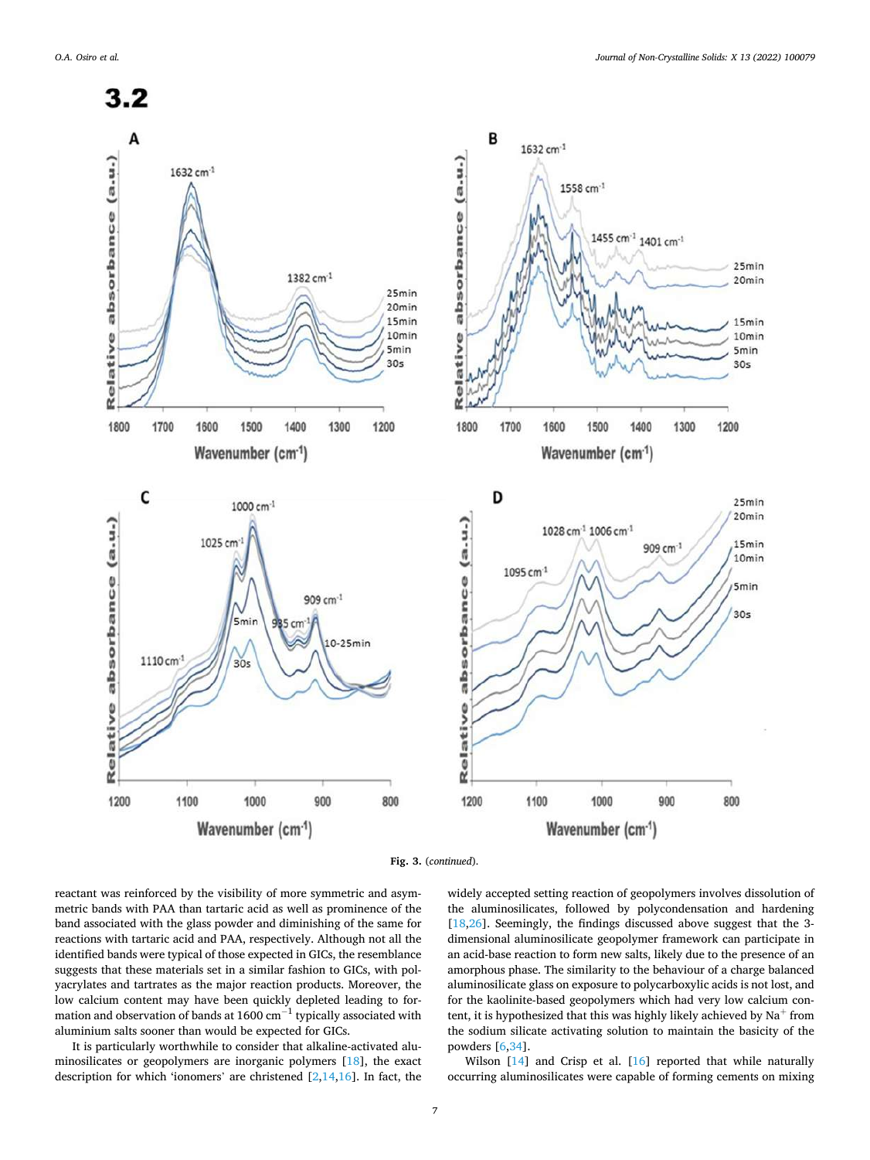



reactant was reinforced by the visibility of more symmetric and asymmetric bands with PAA than tartaric acid as well as prominence of the band associated with the glass powder and diminishing of the same for reactions with tartaric acid and PAA, respectively. Although not all the identified bands were typical of those expected in GICs, the resemblance suggests that these materials set in a similar fashion to GICs, with polyacrylates and tartrates as the major reaction products. Moreover, the low calcium content may have been quickly depleted leading to formation and observation of bands at 1600  $\rm cm^{-1}$  typically associated with aluminium salts sooner than would be expected for GICs.

It is particularly worthwhile to consider that alkaline-activated aluminosilicates or geopolymers are inorganic polymers [\[18](#page-9-0)], the exact description for which 'ionomers' are christened  $[2,14,16]$  $[2,14,16]$  $[2,14,16]$  $[2,14,16]$ . In fact, the widely accepted setting reaction of geopolymers involves dissolution of the aluminosilicates, followed by polycondensation and hardening [[18,26](#page-9-0)]. Seemingly, the findings discussed above suggest that the 3dimensional aluminosilicate geopolymer framework can participate in an acid-base reaction to form new salts, likely due to the presence of an amorphous phase. The similarity to the behaviour of a charge balanced aluminosilicate glass on exposure to polycarboxylic acids is not lost, and for the kaolinite-based geopolymers which had very low calcium content, it is hypothesized that this was highly likely achieved by  $Na<sup>+</sup>$  from the sodium silicate activating solution to maintain the basicity of the powders [\[6,34\]](#page-9-0).

Wilson [\[14](#page-9-0)] and Crisp et al. [\[16](#page-9-0)] reported that while naturally occurring aluminosilicates were capable of forming cements on mixing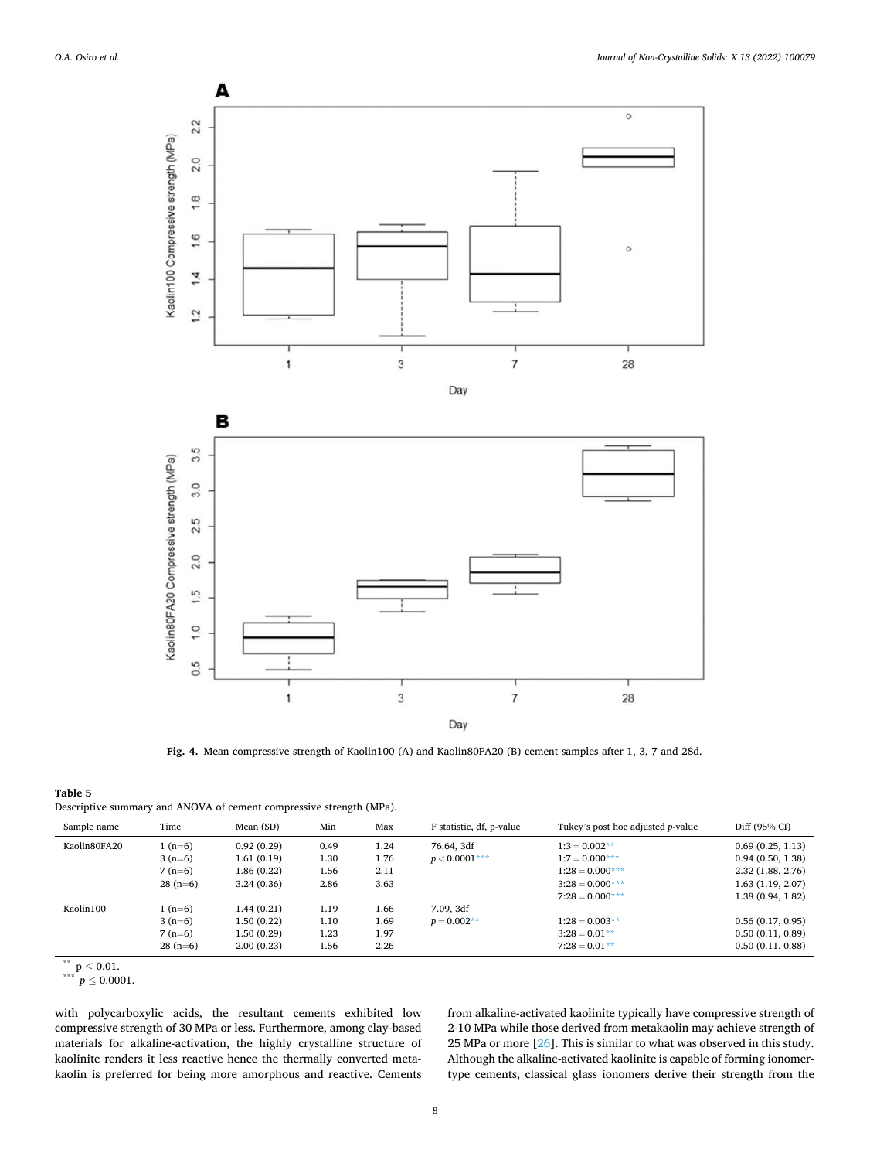<span id="page-7-0"></span>

**Fig. 4.** Mean compressive strength of Kaolin100 (A) and Kaolin80FA20 (B) cement samples after 1, 3, 7 and 28d.

### **Table 5**

| Descriptive summary and ANOVA of cement compressive strength (MPa). |  |  |  |
|---------------------------------------------------------------------|--|--|--|
|---------------------------------------------------------------------|--|--|--|

| Sample name  | Time      | Mean (SD)   | Min  | Max  | F statistic, df, p-value | Tukey's post hoc adjusted <i>p</i> -value | Diff (95% CI)     |
|--------------|-----------|-------------|------|------|--------------------------|-------------------------------------------|-------------------|
| Kaolin80FA20 | $1(n=6)$  | 0.92(0.29)  | 0.49 | 1.24 | 76.64, 3df               | $1:3 = 0.002**$                           | 0.69(0.25, 1.13)  |
|              | $3(n=6)$  | 1.61(0.19)  | 1.30 | 1.76 | $p < 0.0001***$          | $1:7 = 0.000***$                          | 0.94(0.50, 1.38)  |
|              | $7(n=6)$  | 1.86(0.22)  | 1.56 | 2.11 |                          | $1:28 = 0.000***$                         | 2.32 (1.88, 2.76) |
|              | $28(n=6)$ | 3.24(0.36)  | 2.86 | 3.63 |                          | $3:28 = 0.000***$                         | 1.63 (1.19, 2.07) |
|              |           |             |      |      |                          | $7:28 = 0.000***$                         | 1.38 (0.94, 1.82) |
| Kaolin100    | $1(n=6)$  | 1.44(0.21)  | 1.19 | 1.66 | 7.09. 3df                |                                           |                   |
|              | $3(n=6)$  | 1.50 (0.22) | 1.10 | 1.69 | $p = 0.002**$            | $1:28 = 0.003**$                          | 0.56(0.17, 0.95)  |
|              | $7(n=6)$  | 1.50 (0.29) | 1.23 | 1.97 |                          | $3:28 = 0.01**$                           | 0.50(0.11, 0.89)  |
|              | $28(n=6)$ | 2.00(0.23)  | 1.56 | 2.26 |                          | $7:28=0.01**$                             | 0.50(0.11, 0.88)  |

 $\sum_{n=1}^{n} p \le 0.01.$ <br> $p \le 0.0001.$ 

with polycarboxylic acids, the resultant cements exhibited low compressive strength of 30 MPa or less. Furthermore, among clay-based materials for alkaline-activation, the highly crystalline structure of kaolinite renders it less reactive hence the thermally converted metakaolin is preferred for being more amorphous and reactive. Cements from alkaline-activated kaolinite typically have compressive strength of 2-10 MPa while those derived from metakaolin may achieve strength of 25 MPa or more [[26\]](#page-9-0). This is similar to what was observed in this study. Although the alkaline-activated kaolinite is capable of forming ionomertype cements, classical glass ionomers derive their strength from the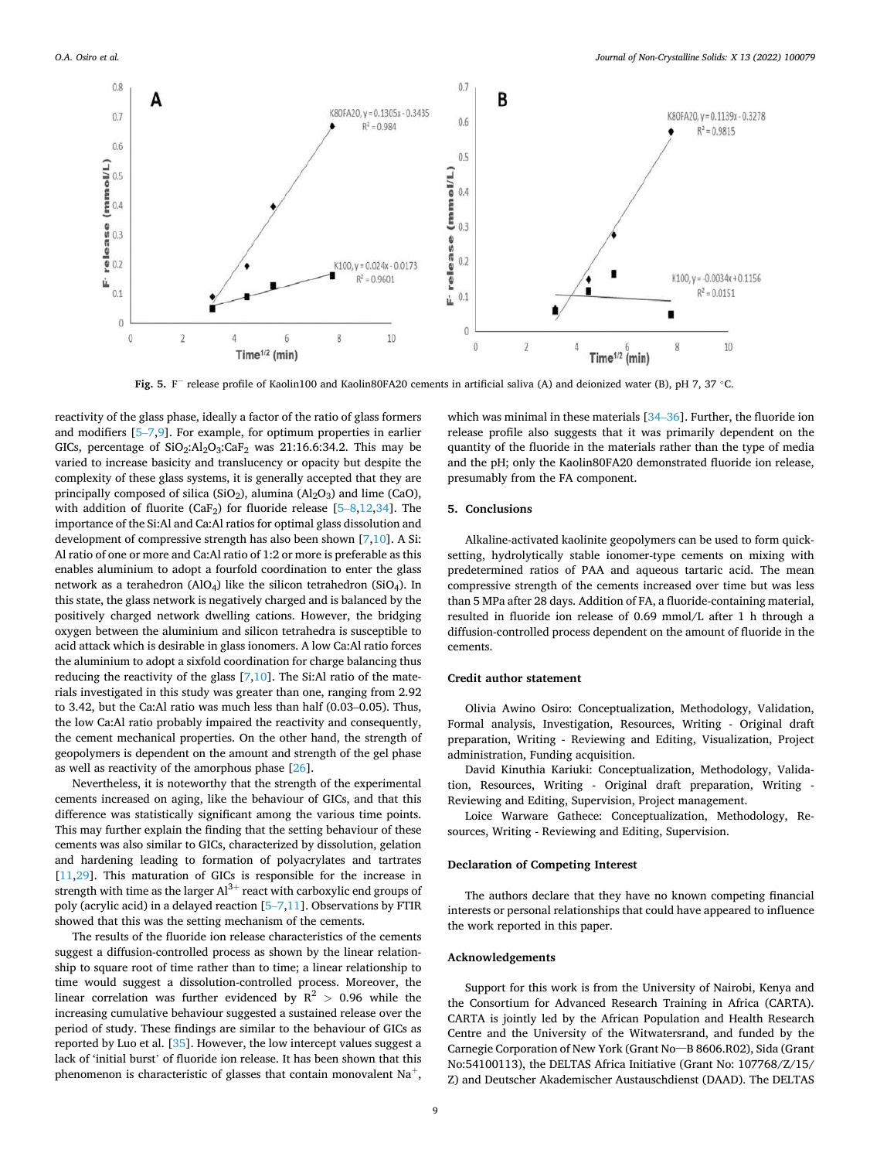<span id="page-8-0"></span>

**Fig. 5.** F<sup>−</sup> release profile of Kaolin100 and Kaolin80FA20 cements in artificial saliva (A) and deionized water (B), pH 7, 37 ◦C.

reactivity of the glass phase, ideally a factor of the ratio of glass formers and modifiers [5–[7,9\]](#page-9-0). For example, for optimum properties in earlier GICs, percentage of  $SiO<sub>2</sub>:Al<sub>2</sub>O<sub>3</sub>:CaF<sub>2</sub>$  was 21:16.6:34.2. This may be varied to increase basicity and translucency or opacity but despite the complexity of these glass systems, it is generally accepted that they are principally composed of silica (SiO<sub>2</sub>), alumina ( $Al<sub>2</sub>O<sub>3</sub>$ ) and lime (CaO), with addition of fluorite (CaF<sub>2</sub>) for fluoride release [\[5](#page-9-0)-8[,12,34](#page-9-0)]. The importance of the Si:Al and Ca:Al ratios for optimal glass dissolution and development of compressive strength has also been shown [[7,10](#page-9-0)]. A Si: Al ratio of one or more and Ca:Al ratio of 1:2 or more is preferable as this enables aluminium to adopt a fourfold coordination to enter the glass network as a terahedron (AlO4) like the silicon tetrahedron (SiO4). In this state, the glass network is negatively charged and is balanced by the positively charged network dwelling cations. However, the bridging oxygen between the aluminium and silicon tetrahedra is susceptible to acid attack which is desirable in glass ionomers. A low Ca:Al ratio forces the aluminium to adopt a sixfold coordination for charge balancing thus reducing the reactivity of the glass  $[7,10]$ . The Si:Al ratio of the materials investigated in this study was greater than one, ranging from 2.92 to 3.42, but the Ca:Al ratio was much less than half (0.03–0.05). Thus, the low Ca:Al ratio probably impaired the reactivity and consequently, the cement mechanical properties. On the other hand, the strength of geopolymers is dependent on the amount and strength of the gel phase as well as reactivity of the amorphous phase [[26\]](#page-9-0).

Nevertheless, it is noteworthy that the strength of the experimental cements increased on aging, like the behaviour of GICs, and that this difference was statistically significant among the various time points. This may further explain the finding that the setting behaviour of these cements was also similar to GICs, characterized by dissolution, gelation and hardening leading to formation of polyacrylates and tartrates [[11,29](#page-9-0)]. This maturation of GICs is responsible for the increase in strength with time as the larger  $Al^{3+}$  react with carboxylic end groups of poly (acrylic acid) in a delayed reaction [5–[7,11\]](#page-9-0). Observations by FTIR showed that this was the setting mechanism of the cements.

The results of the fluoride ion release characteristics of the cements suggest a diffusion-controlled process as shown by the linear relationship to square root of time rather than to time; a linear relationship to time would suggest a dissolution-controlled process. Moreover, the linear correlation was further evidenced by  $R^2 > 0.96$  while the increasing cumulative behaviour suggested a sustained release over the period of study. These findings are similar to the behaviour of GICs as reported by Luo et al. [\[35](#page-9-0)]. However, the low intercept values suggest a lack of 'initial burst' of fluoride ion release. It has been shown that this phenomenon is characteristic of glasses that contain monovalent  $Na<sup>+</sup>$ ,

which was minimal in these materials [34–[36\]](#page-9-0). Further, the fluoride ion release profile also suggests that it was primarily dependent on the quantity of the fluoride in the materials rather than the type of media and the pH; only the Kaolin80FA20 demonstrated fluoride ion release, presumably from the FA component.

# **5. Conclusions**

Alkaline-activated kaolinite geopolymers can be used to form quicksetting, hydrolytically stable ionomer-type cements on mixing with predetermined ratios of PAA and aqueous tartaric acid. The mean compressive strength of the cements increased over time but was less than 5 MPa after 28 days. Addition of FA, a fluoride-containing material, resulted in fluoride ion release of 0.69 mmol/L after 1 h through a diffusion-controlled process dependent on the amount of fluoride in the cements.

### **Credit author statement**

Olivia Awino Osiro: Conceptualization, Methodology, Validation, Formal analysis, Investigation, Resources, Writing - Original draft preparation, Writing - Reviewing and Editing, Visualization, Project administration, Funding acquisition.

David Kinuthia Kariuki: Conceptualization, Methodology, Validation, Resources, Writing - Original draft preparation, Writing - Reviewing and Editing, Supervision, Project management.

Loice Warware Gathece: Conceptualization, Methodology, Resources, Writing - Reviewing and Editing, Supervision.

### **Declaration of Competing Interest**

The authors declare that they have no known competing financial interests or personal relationships that could have appeared to influence the work reported in this paper.

### **Acknowledgements**

Support for this work is from the University of Nairobi, Kenya and the Consortium for Advanced Research Training in Africa (CARTA). CARTA is jointly led by the African Population and Health Research Centre and the University of the Witwatersrand, and funded by the Carnegie Corporation of New York (Grant No–B 8606.R02), Sida (Grant No:54100113), the DELTAS Africa Initiative (Grant No: 107768/Z/15/ Z) and Deutscher Akademischer Austauschdienst (DAAD). The DELTAS